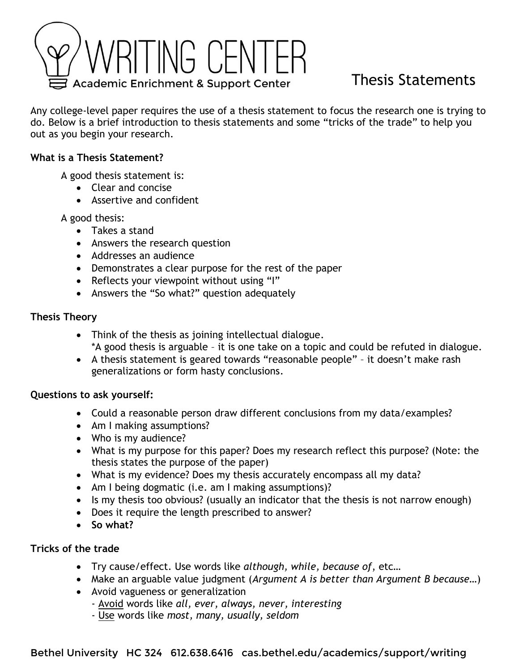

# Thesis Statements

Any college-level paper requires the use of a thesis statement to focus the research one is trying to do. Below is a brief introduction to thesis statements and some "tricks of the trade" to help you out as you begin your research.

## **What is a Thesis Statement?**

A good thesis statement is:

- Clear and concise
- Assertive and confident

A good thesis:

- Takes a stand
- Answers the research question
- Addresses an audience
- Demonstrates a clear purpose for the rest of the paper
- Reflects your viewpoint without using "I"
- Answers the "So what?" question adequately

## **Thesis Theory**

- Think of the thesis as joining intellectual dialogue. \*A good thesis is arguable – it is one take on a topic and could be refuted in dialogue.
- A thesis statement is geared towards "reasonable people" it doesn't make rash generalizations or form hasty conclusions.

#### **Questions to ask yourself:**

- Could a reasonable person draw different conclusions from my data/examples?
- Am I making assumptions?
- Who is my audience?
- What is my purpose for this paper? Does my research reflect this purpose? (Note: the thesis states the purpose of the paper)
- What is my evidence? Does my thesis accurately encompass all my data?
- Am I being dogmatic (i.e. am I making assumptions)?
- Is my thesis too obvious? (usually an indicator that the thesis is not narrow enough)
- Does it require the length prescribed to answer?
- **So what?**

#### **Tricks of the trade**

- Try cause/effect. Use words like *although, while, because of*, etc…
- Make an arguable value judgment (*Argument A is better than Argument B because…*)
- Avoid vagueness or generalization
	- Avoid words like *all, ever, always, never, interesting*
	- Use words like *most, many, usually, seldom*